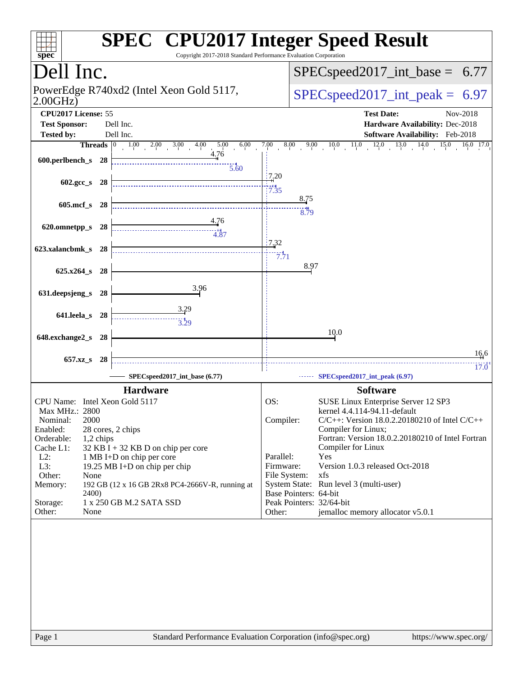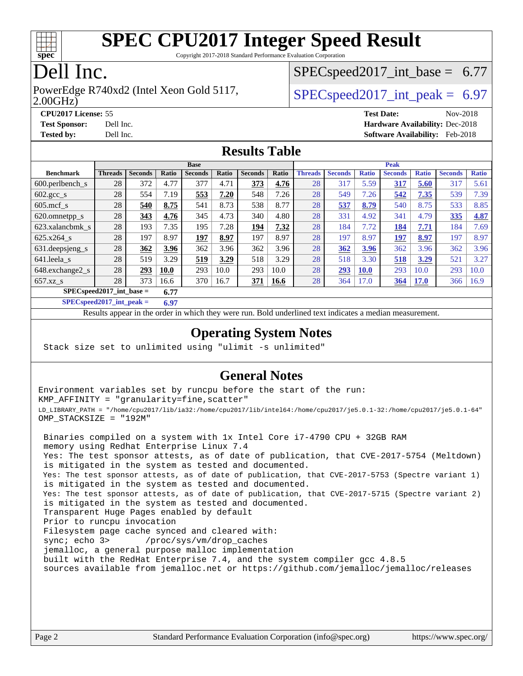

Copyright 2017-2018 Standard Performance Evaluation Corporation

## Dell Inc.

#### 2.00GHz) PowerEdge R740xd2 (Intel Xeon Gold 5117,  $\text{SPEC speed2017\_int\_peak} = 6.97$

 $SPECspeed2017\_int\_base = 6.77$ 

**[CPU2017 License:](http://www.spec.org/auto/cpu2017/Docs/result-fields.html#CPU2017License)** 55 **[Test Date:](http://www.spec.org/auto/cpu2017/Docs/result-fields.html#TestDate)** Nov-2018 **[Test Sponsor:](http://www.spec.org/auto/cpu2017/Docs/result-fields.html#TestSponsor)** Dell Inc. **[Hardware Availability:](http://www.spec.org/auto/cpu2017/Docs/result-fields.html#HardwareAvailability)** Dec-2018 **[Tested by:](http://www.spec.org/auto/cpu2017/Docs/result-fields.html#Testedby)** Dell Inc. **[Software Availability:](http://www.spec.org/auto/cpu2017/Docs/result-fields.html#SoftwareAvailability)** Feb-2018

### **[Results Table](http://www.spec.org/auto/cpu2017/Docs/result-fields.html#ResultsTable)**

|                             | <b>Base</b>    |                |             |                |       |                |       | <b>Peak</b>    |                |              |                |              |                |              |
|-----------------------------|----------------|----------------|-------------|----------------|-------|----------------|-------|----------------|----------------|--------------|----------------|--------------|----------------|--------------|
| <b>Benchmark</b>            | <b>Threads</b> | <b>Seconds</b> | Ratio       | <b>Seconds</b> | Ratio | <b>Seconds</b> | Ratio | <b>Threads</b> | <b>Seconds</b> | <b>Ratio</b> | <b>Seconds</b> | <b>Ratio</b> | <b>Seconds</b> | <b>Ratio</b> |
| 600.perlbench s             | 28             | 372            | 4.77        | 377            | 4.71  | 373            | 4.76  | 28             | 317            | 5.59         | 317            | 5.60         | 317            | 5.61         |
| $602.\text{gcc}\_\text{s}$  | 28             | 554            | 7.19        | 553            | 7.20  | 548            | 7.26  | 28             | 549            | 7.26         | 542            | 7.35         | 539            | 7.39         |
| $605 \text{.mcf}$ s         | 28             | 540            | 8.75        | 541            | 8.73  | 538            | 8.77  | 28             | 537            | 8.79         | 540            | 8.75         | 533            | 8.85         |
| 620.omnetpp_s               | 28             | 343            | 4.76        | 345            | 4.73  | 340            | 4.80  | 28             | 331            | 4.92         | 341            | 4.79         | 335            | 4.87         |
| 623.xalancbmk s             | 28             | 193            | 7.35        | 195            | 7.28  | 194            | 7.32  | 28             | 184            | 7.72         | 184            | 7.71         | 184            | 7.69         |
| 625.x264 s                  | 28             | 197            | 8.97        | 197            | 8.97  | 197            | 8.97  | 28             | 197            | 8.97         | 197            | 8.97         | 197            | 8.97         |
| 631.deepsjeng_s             | 28             | 362            | 3.96        | 362            | 3.96  | 362            | 3.96  | 28             | 362            | 3.96         | 362            | 3.96         | 362            | 3.96         |
| 641.leela s                 | 28             | 519            | 3.29        | 519            | 3.29  | 518            | 3.29  | 28             | 518            | 3.30         | 518            | 3.29         | 521            | 3.27         |
| 648.exchange2_s             | 28             | 293            | <b>10.0</b> | 293            | 10.0  | 293            | 10.0  | 28             | 293            | <b>10.0</b>  | 293            | 10.0         | 293            | 10.0         |
| $657.xz$ <sub>_8</sub>      | 28             | 373            | 16.6        | 370            | 16.7  | 371            | 16.6  | 28             | 364            | 17.0         | 364            | <b>17.0</b>  | 366            | 16.9         |
| $SPEC speed2017$ int base = |                |                | 6.77        |                |       |                |       |                |                |              |                |              |                |              |

**[SPECspeed2017\\_int\\_peak =](http://www.spec.org/auto/cpu2017/Docs/result-fields.html#SPECspeed2017intpeak) 6.97**

Results appear in the [order in which they were run.](http://www.spec.org/auto/cpu2017/Docs/result-fields.html#RunOrder) Bold underlined text [indicates a median measurement](http://www.spec.org/auto/cpu2017/Docs/result-fields.html#Median).

### **[Operating System Notes](http://www.spec.org/auto/cpu2017/Docs/result-fields.html#OperatingSystemNotes)**

Stack size set to unlimited using "ulimit -s unlimited"

### **[General Notes](http://www.spec.org/auto/cpu2017/Docs/result-fields.html#GeneralNotes)**

Environment variables set by runcpu before the start of the run: KMP\_AFFINITY = "granularity=fine,scatter" LD\_LIBRARY\_PATH = "/home/cpu2017/lib/ia32:/home/cpu2017/lib/intel64:/home/cpu2017/je5.0.1-32:/home/cpu2017/je5.0.1-64" OMP\_STACKSIZE = "192M"

 Binaries compiled on a system with 1x Intel Core i7-4790 CPU + 32GB RAM memory using Redhat Enterprise Linux 7.4 Yes: The test sponsor attests, as of date of publication, that CVE-2017-5754 (Meltdown) is mitigated in the system as tested and documented. Yes: The test sponsor attests, as of date of publication, that CVE-2017-5753 (Spectre variant 1) is mitigated in the system as tested and documented. Yes: The test sponsor attests, as of date of publication, that CVE-2017-5715 (Spectre variant 2) is mitigated in the system as tested and documented. Transparent Huge Pages enabled by default Prior to runcpu invocation Filesystem page cache synced and cleared with: sync; echo 3> /proc/sys/vm/drop\_caches jemalloc, a general purpose malloc implementation built with the RedHat Enterprise 7.4, and the system compiler gcc 4.8.5 sources available from jemalloc.net or <https://github.com/jemalloc/jemalloc/releases>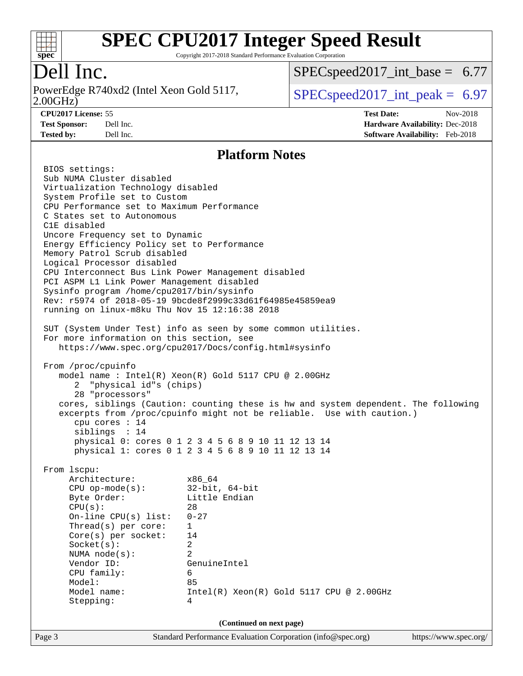

Copyright 2017-2018 Standard Performance Evaluation Corporation

## Dell Inc.

2.00GHz) PowerEdge R740xd2 (Intel Xeon Gold 5117,  $\vert$  [SPECspeed2017\\_int\\_peak =](http://www.spec.org/auto/cpu2017/Docs/result-fields.html#SPECspeed2017intpeak) 6.97

 $SPECspeed2017\_int\_base = 6.77$ 

**[Tested by:](http://www.spec.org/auto/cpu2017/Docs/result-fields.html#Testedby)** Dell Inc. **[Software Availability:](http://www.spec.org/auto/cpu2017/Docs/result-fields.html#SoftwareAvailability)** Feb-2018

**[CPU2017 License:](http://www.spec.org/auto/cpu2017/Docs/result-fields.html#CPU2017License)** 55 **[Test Date:](http://www.spec.org/auto/cpu2017/Docs/result-fields.html#TestDate)** Nov-2018 **[Test Sponsor:](http://www.spec.org/auto/cpu2017/Docs/result-fields.html#TestSponsor)** Dell Inc. **[Hardware Availability:](http://www.spec.org/auto/cpu2017/Docs/result-fields.html#HardwareAvailability)** Dec-2018

#### **[Platform Notes](http://www.spec.org/auto/cpu2017/Docs/result-fields.html#PlatformNotes)**

Page 3 Standard Performance Evaluation Corporation [\(info@spec.org\)](mailto:info@spec.org) <https://www.spec.org/> BIOS settings: Sub NUMA Cluster disabled Virtualization Technology disabled System Profile set to Custom CPU Performance set to Maximum Performance C States set to Autonomous C1E disabled Uncore Frequency set to Dynamic Energy Efficiency Policy set to Performance Memory Patrol Scrub disabled Logical Processor disabled CPU Interconnect Bus Link Power Management disabled PCI ASPM L1 Link Power Management disabled Sysinfo program /home/cpu2017/bin/sysinfo Rev: r5974 of 2018-05-19 9bcde8f2999c33d61f64985e45859ea9 running on linux-m8ku Thu Nov 15 12:16:38 2018 SUT (System Under Test) info as seen by some common utilities. For more information on this section, see <https://www.spec.org/cpu2017/Docs/config.html#sysinfo> From /proc/cpuinfo model name : Intel(R) Xeon(R) Gold 5117 CPU @ 2.00GHz 2 "physical id"s (chips) 28 "processors" cores, siblings (Caution: counting these is hw and system dependent. The following excerpts from /proc/cpuinfo might not be reliable. Use with caution.) cpu cores : 14 siblings : 14 physical 0: cores 0 1 2 3 4 5 6 8 9 10 11 12 13 14 physical 1: cores 0 1 2 3 4 5 6 8 9 10 11 12 13 14 From lscpu: Architecture: x86\_64 CPU op-mode(s): 32-bit, 64-bit Byte Order: Little Endian  $CPU(s):$  28 On-line CPU(s) list: 0-27 Thread(s) per core: 1 Core(s) per socket: 14 Socket(s): 2 NUMA node(s): 2 Vendor ID: GenuineIntel CPU family: 6 Model: 85 Model name: Intel(R) Xeon(R) Gold 5117 CPU @ 2.00GHz Stepping: 4 **(Continued on next page)**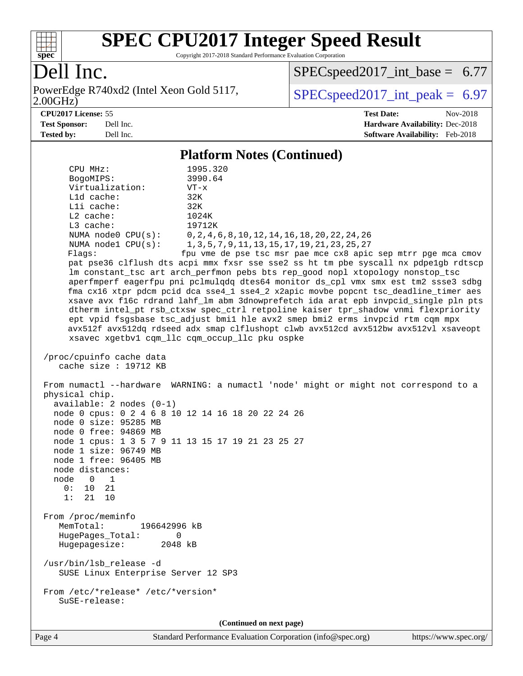

Copyright 2017-2018 Standard Performance Evaluation Corporation

## Dell Inc.

2.00GHz) PowerEdge R740xd2 (Intel Xeon Gold 5117,  $\text{SPEC speed2017\_int\_peak} = 6.97$ 

[SPECspeed2017\\_int\\_base =](http://www.spec.org/auto/cpu2017/Docs/result-fields.html#SPECspeed2017intbase) 6.77

**[CPU2017 License:](http://www.spec.org/auto/cpu2017/Docs/result-fields.html#CPU2017License)** 55 **[Test Date:](http://www.spec.org/auto/cpu2017/Docs/result-fields.html#TestDate)** Nov-2018 **[Test Sponsor:](http://www.spec.org/auto/cpu2017/Docs/result-fields.html#TestSponsor)** Dell Inc. **[Hardware Availability:](http://www.spec.org/auto/cpu2017/Docs/result-fields.html#HardwareAvailability)** Dec-2018 **[Tested by:](http://www.spec.org/auto/cpu2017/Docs/result-fields.html#Testedby)** Dell Inc. **[Software Availability:](http://www.spec.org/auto/cpu2017/Docs/result-fields.html#SoftwareAvailability)** Feb-2018

### **[Platform Notes \(Continued\)](http://www.spec.org/auto/cpu2017/Docs/result-fields.html#PlatformNotes)**

| CPU MHz:                                                                                                                                                                                                                                                                                                             | 1995.320                                                                             |
|----------------------------------------------------------------------------------------------------------------------------------------------------------------------------------------------------------------------------------------------------------------------------------------------------------------------|--------------------------------------------------------------------------------------|
| BogoMIPS:                                                                                                                                                                                                                                                                                                            | 3990.64                                                                              |
| Virtualization:                                                                                                                                                                                                                                                                                                      | $VT - x$                                                                             |
| L1d cache:                                                                                                                                                                                                                                                                                                           | 32K                                                                                  |
| Lli cache:                                                                                                                                                                                                                                                                                                           | 32K                                                                                  |
| L2 cache:                                                                                                                                                                                                                                                                                                            | 1024K                                                                                |
| L3 cache:                                                                                                                                                                                                                                                                                                            | 19712K                                                                               |
|                                                                                                                                                                                                                                                                                                                      | NUMA node0 CPU(s): 0,2,4,6,8,10,12,14,16,18,20,22,24,26                              |
| NUMA $node1$ $CPU(s):$                                                                                                                                                                                                                                                                                               | 1, 3, 5, 7, 9, 11, 13, 15, 17, 19, 21, 23, 25, 27                                    |
| Flags:                                                                                                                                                                                                                                                                                                               | fpu vme de pse tsc msr pae mce cx8 apic sep mtrr pge mca cmov                        |
|                                                                                                                                                                                                                                                                                                                      | pat pse36 clflush dts acpi mmx fxsr sse sse2 ss ht tm pbe syscall nx pdpelgb rdtscp  |
|                                                                                                                                                                                                                                                                                                                      | lm constant_tsc art arch_perfmon pebs bts rep_good nopl xtopology nonstop_tsc        |
|                                                                                                                                                                                                                                                                                                                      | aperfmperf eagerfpu pni pclmulqdq dtes64 monitor ds_cpl vmx smx est tm2 ssse3 sdbg   |
|                                                                                                                                                                                                                                                                                                                      | fma cx16 xtpr pdcm pcid dca sse4_1 sse4_2 x2apic movbe popcnt tsc_deadline_timer aes |
|                                                                                                                                                                                                                                                                                                                      | xsave avx f16c rdrand lahf_lm abm 3dnowprefetch ida arat epb invpcid_single pln pts  |
|                                                                                                                                                                                                                                                                                                                      | dtherm intel_pt rsb_ctxsw spec_ctrl retpoline kaiser tpr_shadow vnmi flexpriority    |
|                                                                                                                                                                                                                                                                                                                      | ept vpid fsgsbase tsc_adjust bmil hle avx2 smep bmi2 erms invpcid rtm cqm mpx        |
|                                                                                                                                                                                                                                                                                                                      | avx512f avx512dq rdseed adx smap clflushopt clwb avx512cd avx512bw avx512vl xsaveopt |
|                                                                                                                                                                                                                                                                                                                      | xsavec xgetbv1 cqm_llc cqm_occup_llc pku ospke                                       |
| /proc/cpuinfo cache data                                                                                                                                                                                                                                                                                             |                                                                                      |
| cache size : 19712 KB                                                                                                                                                                                                                                                                                                |                                                                                      |
| physical chip.<br>$available: 2 nodes (0-1)$<br>node 0 cpus: 0 2 4 6 8 10 12 14 16 18 20 22 24 26<br>node 0 size: 95285 MB<br>node 0 free: 94869 MB<br>node 1 cpus: 1 3 5 7 9 11 13 15 17 19 21 23 25 27<br>node 1 size: 96749 MB<br>node 1 free: 96405 MB<br>node distances:<br>node 0 1<br>0: 10 21<br>1:<br>21 10 | From numactl --hardware WARNING: a numactl 'node' might or might not correspond to a |
| From /proc/meminfo                                                                                                                                                                                                                                                                                                   |                                                                                      |
| MemTotal:<br>196642996 kB                                                                                                                                                                                                                                                                                            |                                                                                      |
| HugePages_Total:<br>0                                                                                                                                                                                                                                                                                                |                                                                                      |
| Hugepagesize: 2048 kB                                                                                                                                                                                                                                                                                                |                                                                                      |
| /usr/bin/lsb_release -d                                                                                                                                                                                                                                                                                              |                                                                                      |
| SUSE Linux Enterprise Server 12 SP3                                                                                                                                                                                                                                                                                  |                                                                                      |
|                                                                                                                                                                                                                                                                                                                      |                                                                                      |
| From /etc/*release* /etc/*version*                                                                                                                                                                                                                                                                                   |                                                                                      |
| SuSE-release:                                                                                                                                                                                                                                                                                                        |                                                                                      |
|                                                                                                                                                                                                                                                                                                                      | (Continued on next page)                                                             |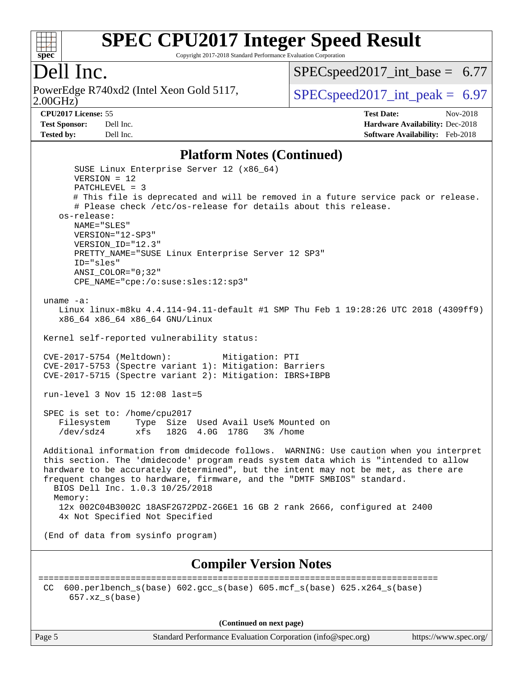

Copyright 2017-2018 Standard Performance Evaluation Corporation

## Dell Inc.

2.00GHz) PowerEdge R740xd2 (Intel Xeon Gold 5117,  $\vert$  [SPECspeed2017\\_int\\_peak =](http://www.spec.org/auto/cpu2017/Docs/result-fields.html#SPECspeed2017intpeak) 6.97

 $SPECspeed2017\_int\_base = 6.77$ 

#### **[CPU2017 License:](http://www.spec.org/auto/cpu2017/Docs/result-fields.html#CPU2017License)** 55 **[Test Date:](http://www.spec.org/auto/cpu2017/Docs/result-fields.html#TestDate)** Nov-2018

**[Test Sponsor:](http://www.spec.org/auto/cpu2017/Docs/result-fields.html#TestSponsor)** Dell Inc. **[Hardware Availability:](http://www.spec.org/auto/cpu2017/Docs/result-fields.html#HardwareAvailability)** Dec-2018 **[Tested by:](http://www.spec.org/auto/cpu2017/Docs/result-fields.html#Testedby)** Dell Inc. **[Software Availability:](http://www.spec.org/auto/cpu2017/Docs/result-fields.html#SoftwareAvailability)** Feb-2018

#### **[Platform Notes \(Continued\)](http://www.spec.org/auto/cpu2017/Docs/result-fields.html#PlatformNotes)**

 SUSE Linux Enterprise Server 12 (x86\_64) VERSION = 12 PATCHLEVEL = 3 # This file is deprecated and will be removed in a future service pack or release. # Please check /etc/os-release for details about this release. os-release: NAME="SLES" VERSION="12-SP3" VERSION\_ID="12.3" PRETTY\_NAME="SUSE Linux Enterprise Server 12 SP3" ID="sles" ANSI\_COLOR="0;32" CPE\_NAME="cpe:/o:suse:sles:12:sp3" uname -a: Linux linux-m8ku 4.4.114-94.11-default #1 SMP Thu Feb 1 19:28:26 UTC 2018 (4309ff9) x86\_64 x86\_64 x86\_64 GNU/Linux Kernel self-reported vulnerability status: CVE-2017-5754 (Meltdown): Mitigation: PTI CVE-2017-5753 (Spectre variant 1): Mitigation: Barriers CVE-2017-5715 (Spectre variant 2): Mitigation: IBRS+IBPB run-level 3 Nov 15 12:08 last=5 SPEC is set to: /home/cpu2017 Filesystem Type Size Used Avail Use% Mounted on /dev/sdz4 xfs 182G 4.0G 178G 3% /home Additional information from dmidecode follows. WARNING: Use caution when you interpret this section. The 'dmidecode' program reads system data which is "intended to allow hardware to be accurately determined", but the intent may not be met, as there are frequent changes to hardware, firmware, and the "DMTF SMBIOS" standard. BIOS Dell Inc. 1.0.3 10/25/2018 Memory: 12x 002C04B3002C 18ASF2G72PDZ-2G6E1 16 GB 2 rank 2666, configured at 2400 4x Not Specified Not Specified (End of data from sysinfo program) **[Compiler Version Notes](http://www.spec.org/auto/cpu2017/Docs/result-fields.html#CompilerVersionNotes)** ============================================================================== CC 600.perlbench  $s(base)$  602.gcc  $s(base)$  605.mcf  $s(base)$  625.x264  $s(base)$ 657.xz\_s(base)

**(Continued on next page)**

Page 5 Standard Performance Evaluation Corporation [\(info@spec.org\)](mailto:info@spec.org) <https://www.spec.org/>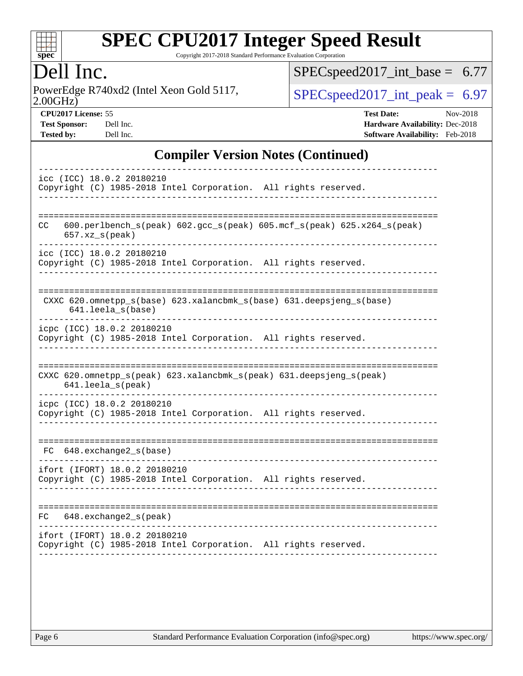

Copyright 2017-2018 Standard Performance Evaluation Corporation

## Dell Inc.

2.00GHz) PowerEdge R740xd2 (Intel Xeon Gold 5117,  $\text{SPEC speed2017\_int\_peak} = 6.97$ 

[SPECspeed2017\\_int\\_base =](http://www.spec.org/auto/cpu2017/Docs/result-fields.html#SPECspeed2017intbase) 6.77

**[CPU2017 License:](http://www.spec.org/auto/cpu2017/Docs/result-fields.html#CPU2017License)** 55 **[Test Date:](http://www.spec.org/auto/cpu2017/Docs/result-fields.html#TestDate)** Nov-2018 **[Test Sponsor:](http://www.spec.org/auto/cpu2017/Docs/result-fields.html#TestSponsor)** Dell Inc. **[Hardware Availability:](http://www.spec.org/auto/cpu2017/Docs/result-fields.html#HardwareAvailability)** Dec-2018 **[Tested by:](http://www.spec.org/auto/cpu2017/Docs/result-fields.html#Testedby)** Dell Inc. **[Software Availability:](http://www.spec.org/auto/cpu2017/Docs/result-fields.html#SoftwareAvailability)** Feb-2018

### **[Compiler Version Notes \(Continued\)](http://www.spec.org/auto/cpu2017/Docs/result-fields.html#CompilerVersionNotes)**

| icc (ICC) 18.0.2 20180210<br>Copyright (C) 1985-2018 Intel Corporation. All rights reserved.     |
|--------------------------------------------------------------------------------------------------|
| 600.perlbench_s(peak) 602.gcc_s(peak) 605.mcf_s(peak) 625.x264_s(peak)<br>CC<br>$657.xz_s(peak)$ |
| icc (ICC) 18.0.2 20180210<br>Copyright (C) 1985-2018 Intel Corporation. All rights reserved.     |
| CXXC 620.omnetpp_s(base) 623.xalancbmk_s(base) 631.deepsjeng_s(base)<br>641.leela s(base)        |
| icpc (ICC) 18.0.2 20180210<br>Copyright (C) 1985-2018 Intel Corporation. All rights reserved.    |
| CXXC 620.omnetpp_s(peak) 623.xalancbmk_s(peak) 631.deepsjeng_s(peak)<br>641.leela_s(peak)        |
| icpc (ICC) 18.0.2 20180210<br>Copyright (C) 1985-2018 Intel Corporation. All rights reserved.    |
| 648.exchange2_s(base)<br>FC.                                                                     |
| ifort (IFORT) 18.0.2 20180210<br>Copyright (C) 1985-2018 Intel Corporation. All rights reserved. |
| --------------<br>648.exchange2_s(peak)<br>FC.                                                   |
| ifort (IFORT) 18.0.2 20180210<br>Copyright (C) 1985-2018 Intel Corporation. All rights reserved. |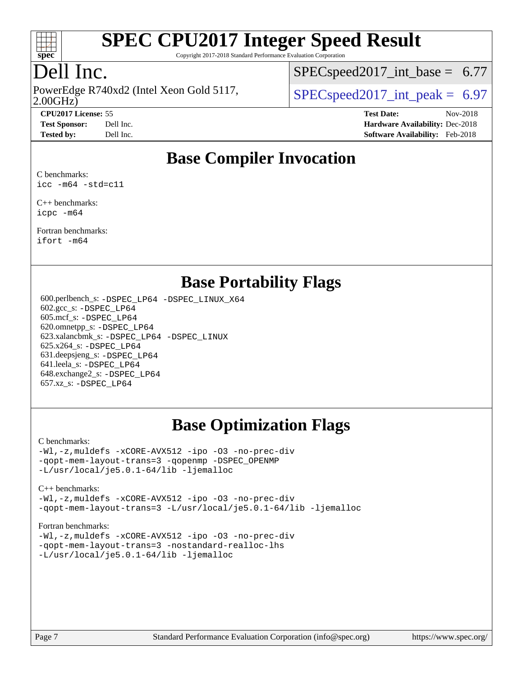

Copyright 2017-2018 Standard Performance Evaluation Corporation

## Dell Inc.

PowerEdge R740xd2 (Intel Xeon Gold 5117,<br>2.00GHz)

 $SPECspeed2017\_int\_base = 6.77$ 

 $SPECspeed2017\_int\_peak = 6.97$ 

**[CPU2017 License:](http://www.spec.org/auto/cpu2017/Docs/result-fields.html#CPU2017License)** 55 **[Test Date:](http://www.spec.org/auto/cpu2017/Docs/result-fields.html#TestDate)** Nov-2018 **[Test Sponsor:](http://www.spec.org/auto/cpu2017/Docs/result-fields.html#TestSponsor)** Dell Inc. **[Hardware Availability:](http://www.spec.org/auto/cpu2017/Docs/result-fields.html#HardwareAvailability)** Dec-2018 **[Tested by:](http://www.spec.org/auto/cpu2017/Docs/result-fields.html#Testedby)** Dell Inc. **[Software Availability:](http://www.spec.org/auto/cpu2017/Docs/result-fields.html#SoftwareAvailability)** Feb-2018

### **[Base Compiler Invocation](http://www.spec.org/auto/cpu2017/Docs/result-fields.html#BaseCompilerInvocation)**

[C benchmarks:](http://www.spec.org/auto/cpu2017/Docs/result-fields.html#Cbenchmarks) [icc -m64 -std=c11](http://www.spec.org/cpu2017/results/res2018q4/cpu2017-20181210-10184.flags.html#user_CCbase_intel_icc_64bit_c11_33ee0cdaae7deeeab2a9725423ba97205ce30f63b9926c2519791662299b76a0318f32ddfffdc46587804de3178b4f9328c46fa7c2b0cd779d7a61945c91cd35)

[C++ benchmarks:](http://www.spec.org/auto/cpu2017/Docs/result-fields.html#CXXbenchmarks) [icpc -m64](http://www.spec.org/cpu2017/results/res2018q4/cpu2017-20181210-10184.flags.html#user_CXXbase_intel_icpc_64bit_4ecb2543ae3f1412ef961e0650ca070fec7b7afdcd6ed48761b84423119d1bf6bdf5cad15b44d48e7256388bc77273b966e5eb805aefd121eb22e9299b2ec9d9)

[Fortran benchmarks](http://www.spec.org/auto/cpu2017/Docs/result-fields.html#Fortranbenchmarks): [ifort -m64](http://www.spec.org/cpu2017/results/res2018q4/cpu2017-20181210-10184.flags.html#user_FCbase_intel_ifort_64bit_24f2bb282fbaeffd6157abe4f878425411749daecae9a33200eee2bee2fe76f3b89351d69a8130dd5949958ce389cf37ff59a95e7a40d588e8d3a57e0c3fd751)

### **[Base Portability Flags](http://www.spec.org/auto/cpu2017/Docs/result-fields.html#BasePortabilityFlags)**

 600.perlbench\_s: [-DSPEC\\_LP64](http://www.spec.org/cpu2017/results/res2018q4/cpu2017-20181210-10184.flags.html#b600.perlbench_s_basePORTABILITY_DSPEC_LP64) [-DSPEC\\_LINUX\\_X64](http://www.spec.org/cpu2017/results/res2018q4/cpu2017-20181210-10184.flags.html#b600.perlbench_s_baseCPORTABILITY_DSPEC_LINUX_X64) 602.gcc\_s: [-DSPEC\\_LP64](http://www.spec.org/cpu2017/results/res2018q4/cpu2017-20181210-10184.flags.html#suite_basePORTABILITY602_gcc_s_DSPEC_LP64) 605.mcf\_s: [-DSPEC\\_LP64](http://www.spec.org/cpu2017/results/res2018q4/cpu2017-20181210-10184.flags.html#suite_basePORTABILITY605_mcf_s_DSPEC_LP64) 620.omnetpp\_s: [-DSPEC\\_LP64](http://www.spec.org/cpu2017/results/res2018q4/cpu2017-20181210-10184.flags.html#suite_basePORTABILITY620_omnetpp_s_DSPEC_LP64) 623.xalancbmk\_s: [-DSPEC\\_LP64](http://www.spec.org/cpu2017/results/res2018q4/cpu2017-20181210-10184.flags.html#suite_basePORTABILITY623_xalancbmk_s_DSPEC_LP64) [-DSPEC\\_LINUX](http://www.spec.org/cpu2017/results/res2018q4/cpu2017-20181210-10184.flags.html#b623.xalancbmk_s_baseCXXPORTABILITY_DSPEC_LINUX) 625.x264\_s: [-DSPEC\\_LP64](http://www.spec.org/cpu2017/results/res2018q4/cpu2017-20181210-10184.flags.html#suite_basePORTABILITY625_x264_s_DSPEC_LP64) 631.deepsjeng\_s: [-DSPEC\\_LP64](http://www.spec.org/cpu2017/results/res2018q4/cpu2017-20181210-10184.flags.html#suite_basePORTABILITY631_deepsjeng_s_DSPEC_LP64) 641.leela\_s: [-DSPEC\\_LP64](http://www.spec.org/cpu2017/results/res2018q4/cpu2017-20181210-10184.flags.html#suite_basePORTABILITY641_leela_s_DSPEC_LP64) 648.exchange2\_s: [-DSPEC\\_LP64](http://www.spec.org/cpu2017/results/res2018q4/cpu2017-20181210-10184.flags.html#suite_basePORTABILITY648_exchange2_s_DSPEC_LP64) 657.xz\_s: [-DSPEC\\_LP64](http://www.spec.org/cpu2017/results/res2018q4/cpu2017-20181210-10184.flags.html#suite_basePORTABILITY657_xz_s_DSPEC_LP64)

### **[Base Optimization Flags](http://www.spec.org/auto/cpu2017/Docs/result-fields.html#BaseOptimizationFlags)**

#### [C benchmarks](http://www.spec.org/auto/cpu2017/Docs/result-fields.html#Cbenchmarks):

[-Wl,-z,muldefs](http://www.spec.org/cpu2017/results/res2018q4/cpu2017-20181210-10184.flags.html#user_CCbase_link_force_multiple1_b4cbdb97b34bdee9ceefcfe54f4c8ea74255f0b02a4b23e853cdb0e18eb4525ac79b5a88067c842dd0ee6996c24547a27a4b99331201badda8798ef8a743f577) [-xCORE-AVX512](http://www.spec.org/cpu2017/results/res2018q4/cpu2017-20181210-10184.flags.html#user_CCbase_f-xCORE-AVX512) [-ipo](http://www.spec.org/cpu2017/results/res2018q4/cpu2017-20181210-10184.flags.html#user_CCbase_f-ipo) [-O3](http://www.spec.org/cpu2017/results/res2018q4/cpu2017-20181210-10184.flags.html#user_CCbase_f-O3) [-no-prec-div](http://www.spec.org/cpu2017/results/res2018q4/cpu2017-20181210-10184.flags.html#user_CCbase_f-no-prec-div) [-qopt-mem-layout-trans=3](http://www.spec.org/cpu2017/results/res2018q4/cpu2017-20181210-10184.flags.html#user_CCbase_f-qopt-mem-layout-trans_de80db37974c74b1f0e20d883f0b675c88c3b01e9d123adea9b28688d64333345fb62bc4a798493513fdb68f60282f9a726aa07f478b2f7113531aecce732043) [-qopenmp](http://www.spec.org/cpu2017/results/res2018q4/cpu2017-20181210-10184.flags.html#user_CCbase_qopenmp_16be0c44f24f464004c6784a7acb94aca937f053568ce72f94b139a11c7c168634a55f6653758ddd83bcf7b8463e8028bb0b48b77bcddc6b78d5d95bb1df2967) [-DSPEC\\_OPENMP](http://www.spec.org/cpu2017/results/res2018q4/cpu2017-20181210-10184.flags.html#suite_CCbase_DSPEC_OPENMP) [-L/usr/local/je5.0.1-64/lib](http://www.spec.org/cpu2017/results/res2018q4/cpu2017-20181210-10184.flags.html#user_CCbase_jemalloc_link_path64_4b10a636b7bce113509b17f3bd0d6226c5fb2346b9178c2d0232c14f04ab830f976640479e5c33dc2bcbbdad86ecfb6634cbbd4418746f06f368b512fced5394) [-ljemalloc](http://www.spec.org/cpu2017/results/res2018q4/cpu2017-20181210-10184.flags.html#user_CCbase_jemalloc_link_lib_d1249b907c500fa1c0672f44f562e3d0f79738ae9e3c4a9c376d49f265a04b9c99b167ecedbf6711b3085be911c67ff61f150a17b3472be731631ba4d0471706)

#### [C++ benchmarks:](http://www.spec.org/auto/cpu2017/Docs/result-fields.html#CXXbenchmarks) [-Wl,-z,muldefs](http://www.spec.org/cpu2017/results/res2018q4/cpu2017-20181210-10184.flags.html#user_CXXbase_link_force_multiple1_b4cbdb97b34bdee9ceefcfe54f4c8ea74255f0b02a4b23e853cdb0e18eb4525ac79b5a88067c842dd0ee6996c24547a27a4b99331201badda8798ef8a743f577) [-xCORE-AVX512](http://www.spec.org/cpu2017/results/res2018q4/cpu2017-20181210-10184.flags.html#user_CXXbase_f-xCORE-AVX512) [-ipo](http://www.spec.org/cpu2017/results/res2018q4/cpu2017-20181210-10184.flags.html#user_CXXbase_f-ipo) [-O3](http://www.spec.org/cpu2017/results/res2018q4/cpu2017-20181210-10184.flags.html#user_CXXbase_f-O3) [-no-prec-div](http://www.spec.org/cpu2017/results/res2018q4/cpu2017-20181210-10184.flags.html#user_CXXbase_f-no-prec-div)

[-qopt-mem-layout-trans=3](http://www.spec.org/cpu2017/results/res2018q4/cpu2017-20181210-10184.flags.html#user_CXXbase_f-qopt-mem-layout-trans_de80db37974c74b1f0e20d883f0b675c88c3b01e9d123adea9b28688d64333345fb62bc4a798493513fdb68f60282f9a726aa07f478b2f7113531aecce732043) [-L/usr/local/je5.0.1-64/lib](http://www.spec.org/cpu2017/results/res2018q4/cpu2017-20181210-10184.flags.html#user_CXXbase_jemalloc_link_path64_4b10a636b7bce113509b17f3bd0d6226c5fb2346b9178c2d0232c14f04ab830f976640479e5c33dc2bcbbdad86ecfb6634cbbd4418746f06f368b512fced5394) [-ljemalloc](http://www.spec.org/cpu2017/results/res2018q4/cpu2017-20181210-10184.flags.html#user_CXXbase_jemalloc_link_lib_d1249b907c500fa1c0672f44f562e3d0f79738ae9e3c4a9c376d49f265a04b9c99b167ecedbf6711b3085be911c67ff61f150a17b3472be731631ba4d0471706)

#### [Fortran benchmarks](http://www.spec.org/auto/cpu2017/Docs/result-fields.html#Fortranbenchmarks):

[-Wl,-z,muldefs](http://www.spec.org/cpu2017/results/res2018q4/cpu2017-20181210-10184.flags.html#user_FCbase_link_force_multiple1_b4cbdb97b34bdee9ceefcfe54f4c8ea74255f0b02a4b23e853cdb0e18eb4525ac79b5a88067c842dd0ee6996c24547a27a4b99331201badda8798ef8a743f577) [-xCORE-AVX512](http://www.spec.org/cpu2017/results/res2018q4/cpu2017-20181210-10184.flags.html#user_FCbase_f-xCORE-AVX512) [-ipo](http://www.spec.org/cpu2017/results/res2018q4/cpu2017-20181210-10184.flags.html#user_FCbase_f-ipo) [-O3](http://www.spec.org/cpu2017/results/res2018q4/cpu2017-20181210-10184.flags.html#user_FCbase_f-O3) [-no-prec-div](http://www.spec.org/cpu2017/results/res2018q4/cpu2017-20181210-10184.flags.html#user_FCbase_f-no-prec-div) [-qopt-mem-layout-trans=3](http://www.spec.org/cpu2017/results/res2018q4/cpu2017-20181210-10184.flags.html#user_FCbase_f-qopt-mem-layout-trans_de80db37974c74b1f0e20d883f0b675c88c3b01e9d123adea9b28688d64333345fb62bc4a798493513fdb68f60282f9a726aa07f478b2f7113531aecce732043) [-nostandard-realloc-lhs](http://www.spec.org/cpu2017/results/res2018q4/cpu2017-20181210-10184.flags.html#user_FCbase_f_2003_std_realloc_82b4557e90729c0f113870c07e44d33d6f5a304b4f63d4c15d2d0f1fab99f5daaed73bdb9275d9ae411527f28b936061aa8b9c8f2d63842963b95c9dd6426b8a) [-L/usr/local/je5.0.1-64/lib](http://www.spec.org/cpu2017/results/res2018q4/cpu2017-20181210-10184.flags.html#user_FCbase_jemalloc_link_path64_4b10a636b7bce113509b17f3bd0d6226c5fb2346b9178c2d0232c14f04ab830f976640479e5c33dc2bcbbdad86ecfb6634cbbd4418746f06f368b512fced5394) [-ljemalloc](http://www.spec.org/cpu2017/results/res2018q4/cpu2017-20181210-10184.flags.html#user_FCbase_jemalloc_link_lib_d1249b907c500fa1c0672f44f562e3d0f79738ae9e3c4a9c376d49f265a04b9c99b167ecedbf6711b3085be911c67ff61f150a17b3472be731631ba4d0471706)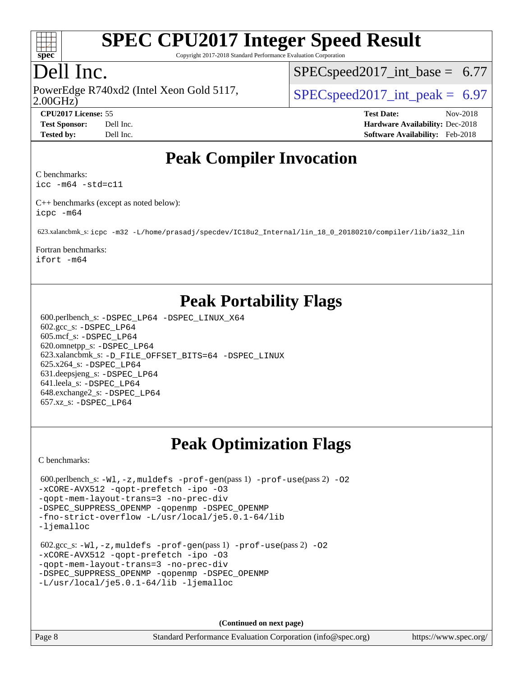

Copyright 2017-2018 Standard Performance Evaluation Corporation

## Dell Inc.

2.00GHz) PowerEdge R740xd2 (Intel Xeon Gold 5117,  $\vert$  [SPECspeed2017\\_int\\_peak =](http://www.spec.org/auto/cpu2017/Docs/result-fields.html#SPECspeed2017intpeak) 6.97

 $SPECspeed2017\_int\_base = 6.77$ 

**[CPU2017 License:](http://www.spec.org/auto/cpu2017/Docs/result-fields.html#CPU2017License)** 55 **[Test Date:](http://www.spec.org/auto/cpu2017/Docs/result-fields.html#TestDate)** Nov-2018 **[Test Sponsor:](http://www.spec.org/auto/cpu2017/Docs/result-fields.html#TestSponsor)** Dell Inc. **[Hardware Availability:](http://www.spec.org/auto/cpu2017/Docs/result-fields.html#HardwareAvailability)** Dec-2018 **[Tested by:](http://www.spec.org/auto/cpu2017/Docs/result-fields.html#Testedby)** Dell Inc. **[Software Availability:](http://www.spec.org/auto/cpu2017/Docs/result-fields.html#SoftwareAvailability)** Feb-2018

## **[Peak Compiler Invocation](http://www.spec.org/auto/cpu2017/Docs/result-fields.html#PeakCompilerInvocation)**

[C benchmarks](http://www.spec.org/auto/cpu2017/Docs/result-fields.html#Cbenchmarks):

[icc -m64 -std=c11](http://www.spec.org/cpu2017/results/res2018q4/cpu2017-20181210-10184.flags.html#user_CCpeak_intel_icc_64bit_c11_33ee0cdaae7deeeab2a9725423ba97205ce30f63b9926c2519791662299b76a0318f32ddfffdc46587804de3178b4f9328c46fa7c2b0cd779d7a61945c91cd35)

[C++ benchmarks \(except as noted below\)](http://www.spec.org/auto/cpu2017/Docs/result-fields.html#CXXbenchmarksexceptasnotedbelow): [icpc -m64](http://www.spec.org/cpu2017/results/res2018q4/cpu2017-20181210-10184.flags.html#user_CXXpeak_intel_icpc_64bit_4ecb2543ae3f1412ef961e0650ca070fec7b7afdcd6ed48761b84423119d1bf6bdf5cad15b44d48e7256388bc77273b966e5eb805aefd121eb22e9299b2ec9d9)

623.xalancbmk\_s: [icpc -m32 -L/home/prasadj/specdev/IC18u2\\_Internal/lin\\_18\\_0\\_20180210/compiler/lib/ia32\\_lin](http://www.spec.org/cpu2017/results/res2018q4/cpu2017-20181210-10184.flags.html#user_peakCXXLD623_xalancbmk_s_intel_icpc_c6d030cd79af6ea7d6fb64c57e8fe7ae8fe0b96fc5a3b3f4a10e3273b3d7fa9decd8263f6330cef23f751cb093a69fae84a2bf4c243500a8eed069248128076f)

[Fortran benchmarks](http://www.spec.org/auto/cpu2017/Docs/result-fields.html#Fortranbenchmarks):

[ifort -m64](http://www.spec.org/cpu2017/results/res2018q4/cpu2017-20181210-10184.flags.html#user_FCpeak_intel_ifort_64bit_24f2bb282fbaeffd6157abe4f878425411749daecae9a33200eee2bee2fe76f3b89351d69a8130dd5949958ce389cf37ff59a95e7a40d588e8d3a57e0c3fd751)

## **[Peak Portability Flags](http://www.spec.org/auto/cpu2017/Docs/result-fields.html#PeakPortabilityFlags)**

 600.perlbench\_s: [-DSPEC\\_LP64](http://www.spec.org/cpu2017/results/res2018q4/cpu2017-20181210-10184.flags.html#b600.perlbench_s_peakPORTABILITY_DSPEC_LP64) [-DSPEC\\_LINUX\\_X64](http://www.spec.org/cpu2017/results/res2018q4/cpu2017-20181210-10184.flags.html#b600.perlbench_s_peakCPORTABILITY_DSPEC_LINUX_X64) 602.gcc\_s: [-DSPEC\\_LP64](http://www.spec.org/cpu2017/results/res2018q4/cpu2017-20181210-10184.flags.html#suite_peakPORTABILITY602_gcc_s_DSPEC_LP64) 605.mcf\_s: [-DSPEC\\_LP64](http://www.spec.org/cpu2017/results/res2018q4/cpu2017-20181210-10184.flags.html#suite_peakPORTABILITY605_mcf_s_DSPEC_LP64) 620.omnetpp\_s: [-DSPEC\\_LP64](http://www.spec.org/cpu2017/results/res2018q4/cpu2017-20181210-10184.flags.html#suite_peakPORTABILITY620_omnetpp_s_DSPEC_LP64) 623.xalancbmk\_s: [-D\\_FILE\\_OFFSET\\_BITS=64](http://www.spec.org/cpu2017/results/res2018q4/cpu2017-20181210-10184.flags.html#user_peakPORTABILITY623_xalancbmk_s_file_offset_bits_64_5ae949a99b284ddf4e95728d47cb0843d81b2eb0e18bdfe74bbf0f61d0b064f4bda2f10ea5eb90e1dcab0e84dbc592acfc5018bc955c18609f94ddb8d550002c) [-DSPEC\\_LINUX](http://www.spec.org/cpu2017/results/res2018q4/cpu2017-20181210-10184.flags.html#b623.xalancbmk_s_peakCXXPORTABILITY_DSPEC_LINUX) 625.x264\_s: [-DSPEC\\_LP64](http://www.spec.org/cpu2017/results/res2018q4/cpu2017-20181210-10184.flags.html#suite_peakPORTABILITY625_x264_s_DSPEC_LP64) 631.deepsjeng\_s: [-DSPEC\\_LP64](http://www.spec.org/cpu2017/results/res2018q4/cpu2017-20181210-10184.flags.html#suite_peakPORTABILITY631_deepsjeng_s_DSPEC_LP64) 641.leela\_s: [-DSPEC\\_LP64](http://www.spec.org/cpu2017/results/res2018q4/cpu2017-20181210-10184.flags.html#suite_peakPORTABILITY641_leela_s_DSPEC_LP64) 648.exchange2\_s: [-DSPEC\\_LP64](http://www.spec.org/cpu2017/results/res2018q4/cpu2017-20181210-10184.flags.html#suite_peakPORTABILITY648_exchange2_s_DSPEC_LP64) 657.xz\_s: [-DSPEC\\_LP64](http://www.spec.org/cpu2017/results/res2018q4/cpu2017-20181210-10184.flags.html#suite_peakPORTABILITY657_xz_s_DSPEC_LP64)

## **[Peak Optimization Flags](http://www.spec.org/auto/cpu2017/Docs/result-fields.html#PeakOptimizationFlags)**

[C benchmarks](http://www.spec.org/auto/cpu2017/Docs/result-fields.html#Cbenchmarks):

```
600.perlbench_s: -W1, -z, muldefs -prof-gen(pass 1) -prof-use(pass 2)-O2
-xCORE-AVX512 -qopt-prefetch -ipo -O3
-qopt-mem-layout-trans=3 -no-prec-div
-DSPEC_SUPPRESS_OPENMP -qopenmp -DSPEC_OPENMP
-fno-strict-overflow -L/usr/local/je5.0.1-64/lib
-ljemalloc
 602.gcc_s: -Wl,-z,muldefs -prof-gen(pass 1) -prof-use(pass 2) -O2
-xCORE-AVX512 -qopt-prefetch -ipo -O3
-qopt-mem-layout-trans=3 -no-prec-div
-DSPEC_SUPPRESS_OPENMP -qopenmp -DSPEC_OPENMP
-L/usr/local/je5.0.1-64/lib -ljemalloc
```
**(Continued on next page)**